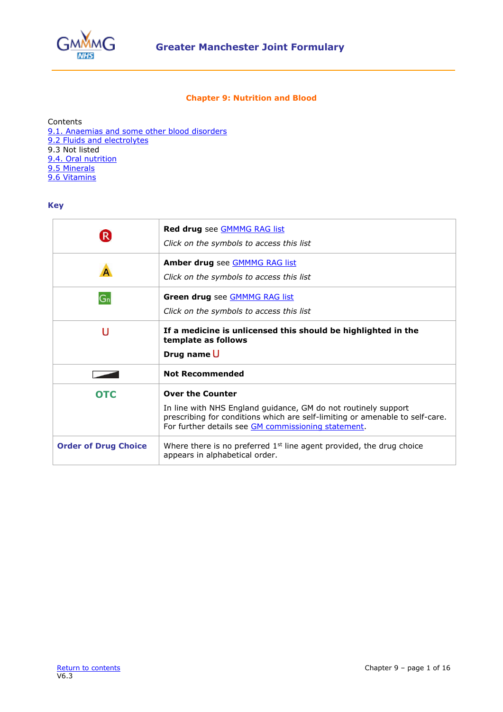

## **Chapter 9: Nutrition and Blood**

<span id="page-0-0"></span>Contents [9.1. Anaemias and some other blood disorders](#page-1-0) [9.2 Fluids and electrolytes](#page-6-0) 9.3 Not listed [9.4. Oral nutrition](#page-7-0) [9.5 Minerals](#page-8-0) [9.6 Vitamins](#page-12-0)

### **Key**

|                             | Red drug see <b>GMMMG RAG list</b><br>Click on the symbols to access this list                                                                                                                                                   |  |
|-----------------------------|----------------------------------------------------------------------------------------------------------------------------------------------------------------------------------------------------------------------------------|--|
|                             | Amber drug see <b>GMMMG RAG list</b><br>Click on the symbols to access this list                                                                                                                                                 |  |
| $G_n$                       | Green drug see <b>GMMMG RAG list</b><br>Click on the symbols to access this list                                                                                                                                                 |  |
| U                           | If a medicine is unlicensed this should be highlighted in the<br>template as follows<br>Drug name U                                                                                                                              |  |
|                             | <b>Not Recommended</b>                                                                                                                                                                                                           |  |
| <b>OTC</b>                  | <b>Over the Counter</b><br>In line with NHS England guidance, GM do not routinely support<br>prescribing for conditions which are self-limiting or amenable to self-care.<br>For further details see GM commissioning statement. |  |
| <b>Order of Drug Choice</b> | Where there is no preferred $1st$ line agent provided, the drug choice<br>appears in alphabetical order.                                                                                                                         |  |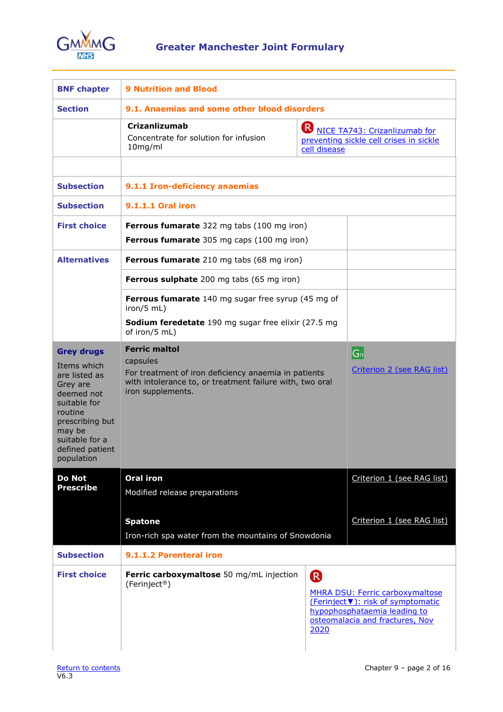

<span id="page-1-0"></span>

| <b>BNF chapter</b>                                                                                                                                                                     | <b>9 Nutrition and Blood</b>                                                                                                                                              |                      |                                                                                                                                                 |
|----------------------------------------------------------------------------------------------------------------------------------------------------------------------------------------|---------------------------------------------------------------------------------------------------------------------------------------------------------------------------|----------------------|-------------------------------------------------------------------------------------------------------------------------------------------------|
| <b>Section</b>                                                                                                                                                                         | 9.1. Anaemias and some other blood disorders                                                                                                                              |                      |                                                                                                                                                 |
|                                                                                                                                                                                        | <b>Crizanlizumab</b><br>Concentrate for solution for infusion<br>10mg/ml                                                                                                  | cell disease         | NICE TA743: Crizanlizumab for<br>preventing sickle cell crises in sickle                                                                        |
| <b>Subsection</b>                                                                                                                                                                      | 9.1.1 Iron-deficiency anaemias                                                                                                                                            |                      |                                                                                                                                                 |
| <b>Subsection</b>                                                                                                                                                                      | 9.1.1.1 Oral iron                                                                                                                                                         |                      |                                                                                                                                                 |
| <b>First choice</b>                                                                                                                                                                    | Ferrous fumarate 322 mg tabs (100 mg iron)<br>Ferrous fumarate 305 mg caps (100 mg iron)                                                                                  |                      |                                                                                                                                                 |
| <b>Alternatives</b>                                                                                                                                                                    | <b>Ferrous fumarate</b> 210 mg tabs (68 mg iron)                                                                                                                          |                      |                                                                                                                                                 |
|                                                                                                                                                                                        | <b>Ferrous sulphate</b> 200 mg tabs (65 mg iron)                                                                                                                          |                      |                                                                                                                                                 |
|                                                                                                                                                                                        | Ferrous fumarate 140 mg sugar free syrup (45 mg of<br>$iron/5$ mL)<br>Sodium feredetate 190 mg sugar free elixir (27.5 mg<br>of iron/5 mL)                                |                      |                                                                                                                                                 |
| <b>Grey drugs</b><br>Items which<br>are listed as<br>Grey are<br>deemed not<br>suitable for<br>routine<br>prescribing but<br>may be<br>suitable for a<br>defined patient<br>population | <b>Ferric maltol</b><br>capsules<br>For treatment of iron deficiency anaemia in patients<br>with intolerance to, or treatment failure with, two oral<br>iron supplements. |                      | $ G_n $<br>Criterion 2 (see RAG list)                                                                                                           |
| <b>Do Not</b><br><b>Prescribe</b>                                                                                                                                                      | <b>Oral iron</b><br>Modified release preparations                                                                                                                         |                      | Criterion 1 (see RAG list)                                                                                                                      |
|                                                                                                                                                                                        | <b>Spatone</b><br>Iron-rich spa water from the mountains of Snowdonia                                                                                                     |                      | Criterion 1 (see RAG list)                                                                                                                      |
| <b>Subsection</b>                                                                                                                                                                      | 9.1.1.2 Parenteral iron                                                                                                                                                   |                      |                                                                                                                                                 |
| <b>First choice</b>                                                                                                                                                                    | Ferric carboxymaltose 50 mg/mL injection<br>(Ferinject <sup>®</sup> )                                                                                                     | <sup>R</sup><br>2020 | <b>MHRA DSU: Ferric carboxymaltose</b><br>(Ferinject V): risk of symptomatic<br>hypophosphataemia leading to<br>osteomalacia and fractures, Nov |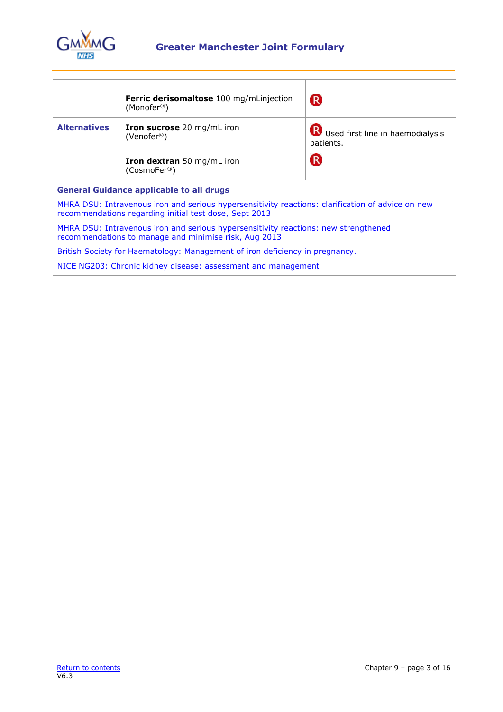

# **Greater Manchester Joint Formulary**

|                     | <b>Ferric derisomaltose</b> 100 mg/mLinjection<br>(Monofer <sup>®</sup> )                                                                                   | $\mathsf{R}$                                  |
|---------------------|-------------------------------------------------------------------------------------------------------------------------------------------------------------|-----------------------------------------------|
| <b>Alternatives</b> | <b>Iron sucrose</b> 20 mg/mL iron<br>(Venofer <sup>®</sup> )                                                                                                | Used first line in haemodialysis<br>patients. |
|                     | <b>Iron dextran</b> 50 mg/mL iron<br>(CosmoFer <sup>®</sup> )                                                                                               | R                                             |
|                     | <b>General Guidance applicable to all drugs</b>                                                                                                             |                                               |
|                     | MHRA DSU: Intravenous iron and serious hypersensitivity reactions: clarification of advice on new<br>recommendations regarding initial test dose, Sept 2013 |                                               |
|                     | MHRA DSU: Intravenous iron and serious hypersensitivity reactions: new strengthened<br>recommendations to manage and minimise risk, Aug 2013                |                                               |
|                     | <b>British Society for Haematology: Management of iron deficiency in pregnancy.</b>                                                                         |                                               |
|                     | NICE NG203: Chronic kidney disease: assessment and management                                                                                               |                                               |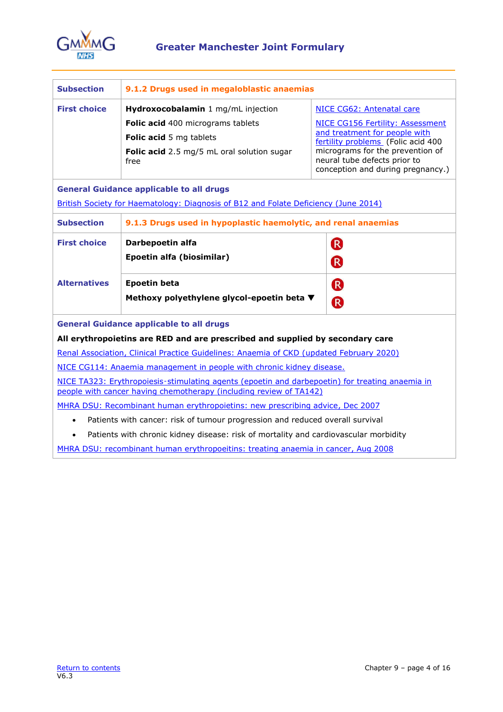

| <b>Subsection</b>   | 9.1.2 Drugs used in megaloblastic anaemias                                                                                                                            |                                                                                                       |
|---------------------|-----------------------------------------------------------------------------------------------------------------------------------------------------------------------|-------------------------------------------------------------------------------------------------------|
| <b>First choice</b> | Hydroxocobalamin 1 mg/mL injection<br>Folic acid 400 micrograms tablets                                                                                               | NICE CG62: Antenatal care<br>NICE CG156 Fertility: Assessment                                         |
|                     | Folic acid 5 mg tablets                                                                                                                                               | and treatment for people with<br>fertility problems (Folic acid 400                                   |
|                     | Folic acid 2.5 mg/5 mL oral solution sugar<br>free                                                                                                                    | micrograms for the prevention of<br>neural tube defects prior to<br>conception and during pregnancy.) |
|                     | <b>General Guidance applicable to all drugs</b>                                                                                                                       |                                                                                                       |
|                     | British Society for Haematology: Diagnosis of B12 and Folate Deficiency (June 2014)                                                                                   |                                                                                                       |
| <b>Subsection</b>   | 9.1.3 Drugs used in hypoplastic haemolytic, and renal anaemias                                                                                                        |                                                                                                       |
| <b>First choice</b> | Darbepoetin alfa                                                                                                                                                      | <sup>R</sup>                                                                                          |
|                     | Epoetin alfa (biosimilar)                                                                                                                                             | R                                                                                                     |
| <b>Alternatives</b> | <b>Epoetin beta</b>                                                                                                                                                   | R                                                                                                     |
|                     | Methoxy polyethylene glycol-epoetin beta ▼                                                                                                                            | R                                                                                                     |
|                     | <b>General Guidance applicable to all drugs</b>                                                                                                                       |                                                                                                       |
|                     | All erythropoietins are RED and are prescribed and supplied by secondary care                                                                                         |                                                                                                       |
|                     | Renal Association, Clinical Practice Guidelines: Anaemia of CKD (updated February 2020)                                                                               |                                                                                                       |
|                     | NICE CG114: Anaemia management in people with chronic kidney disease.                                                                                                 |                                                                                                       |
|                     | NICE TA323: Erythropoiesis-stimulating agents (epoetin and darbepoetin) for treating anaemia in<br>people with cancer having chemotherapy (including review of TA142) |                                                                                                       |
|                     | MHRA DSU: Recombinant human erythropoietins: new prescribing advice, Dec 2007                                                                                         |                                                                                                       |
|                     | Patients with cancer: risk of tumour progression and reduced overall survival                                                                                         |                                                                                                       |
| $\bullet$           | Patients with chronic kidney disease: risk of mortality and cardiovascular morbidity                                                                                  |                                                                                                       |

MHRA DSU: [recombinant human erythropoeitins: treating anaemia in cancer,](https://www.gov.uk/drug-safety-update/recombinant-human-erythropoietins-treating-anaemia-in-cancer) Aug 2008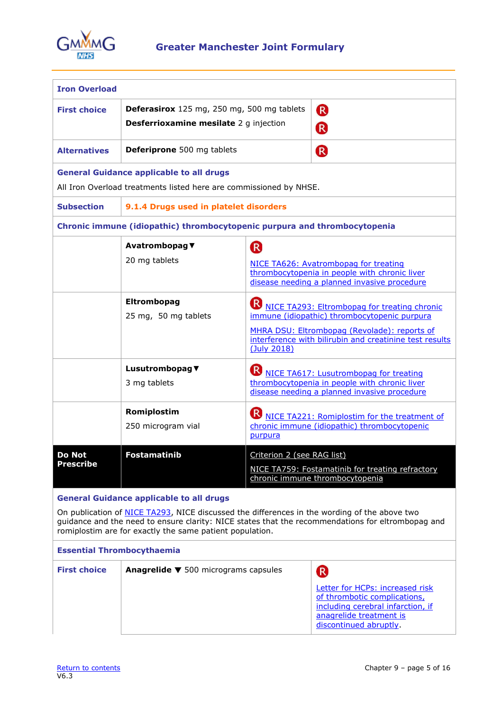

| <b>Iron Overload</b>              |                                                                                                                                                                                                             |                                       |                                                                                                                                                                                                                  |
|-----------------------------------|-------------------------------------------------------------------------------------------------------------------------------------------------------------------------------------------------------------|---------------------------------------|------------------------------------------------------------------------------------------------------------------------------------------------------------------------------------------------------------------|
| <b>First choice</b>               | Deferasirox 125 mg, 250 mg, 500 mg tablets<br><b>Desferrioxamine mesilate</b> 2 g injection                                                                                                                 |                                       | (R)<br><b>R</b>                                                                                                                                                                                                  |
| <b>Alternatives</b>               | <b>Deferiprone</b> 500 mg tablets                                                                                                                                                                           |                                       | <b>R</b>                                                                                                                                                                                                         |
|                                   | <b>General Guidance applicable to all drugs</b><br>All Iron Overload treatments listed here are commissioned by NHSE.                                                                                       |                                       |                                                                                                                                                                                                                  |
| <b>Subsection</b>                 | 9.1.4 Drugs used in platelet disorders                                                                                                                                                                      |                                       |                                                                                                                                                                                                                  |
|                                   | Chronic immune (idiopathic) thrombocytopenic purpura and thrombocytopenia                                                                                                                                   |                                       |                                                                                                                                                                                                                  |
|                                   | Avatrombopag ▼<br>20 mg tablets                                                                                                                                                                             | R                                     | NICE TA626: Avatrombopag for treating<br>thrombocytopenia in people with chronic liver<br>disease needing a planned invasive procedure                                                                           |
|                                   | Eltrombopag<br>25 mg, 50 mg tablets                                                                                                                                                                         | (July 2018)                           | <b>R</b> NICE TA293: Eltrombopag for treating chronic<br>immune (idiopathic) thrombocytopenic purpura<br>MHRA DSU: Eltrombopag (Revolade): reports of<br>interference with bilirubin and creatinine test results |
|                                   | Lusutrombopag ▼<br>3 mg tablets                                                                                                                                                                             |                                       | <b>B</b> NICE TA617: Lusutrombopag for treating<br>thrombocytopenia in people with chronic liver<br>disease needing a planned invasive procedure                                                                 |
|                                   | Romiplostim<br>250 microgram vial                                                                                                                                                                           | $\vert \mathsf{R} \rangle$<br>purpura | NICE TA221: Romiplostim for the treatment of<br>chronic immune (idiopathic) thrombocytopenic                                                                                                                     |
| Do Not<br><b>Prescribe</b>        | <b>Fostamatinib</b>                                                                                                                                                                                         | Criterion 2 (see RAG list)            | NICE TA759: Fostamatinib for treating refractory<br>chronic immune thrombocytopenia                                                                                                                              |
| <b>Essential Thrombocythaemia</b> | <b>General Guidance applicable to all drugs</b><br>On publication of NICE TA293, NICE discussed the differences in the wording of the above two<br>romiplostim are for exactly the same patient population. |                                       | guidance and the need to ensure clarity: NICE states that the recommendations for eltrombopag and                                                                                                                |

| <b>First choice</b> | Anagrelide ▼ 500 micrograms capsules |                                                                                                                                                           |
|---------------------|--------------------------------------|-----------------------------------------------------------------------------------------------------------------------------------------------------------|
|                     |                                      | Letter for HCPs: increased risk<br>of thrombotic complications,<br>including cerebral infarction, if<br>anagrelide treatment is<br>discontinued abruptly. |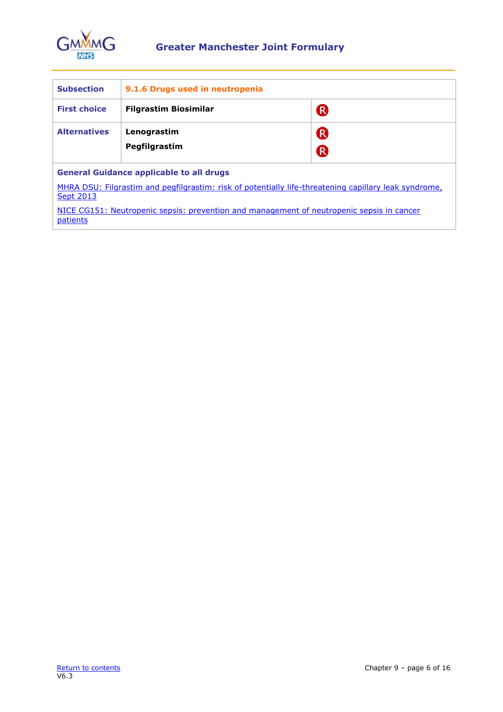

| <b>Subsection</b>                               | 9.1.6 Drugs used in neutropenia |               |
|-------------------------------------------------|---------------------------------|---------------|
| <b>First choice</b>                             | <b>Filgrastim Biosimilar</b>    | <sup>R</sup>  |
| <b>Alternatives</b>                             | Lenograstim<br>Pegfilgrastim    | ®<br><b>R</b> |
| <b>General Guidance applicable to all drugs</b> |                                 |               |

[MHRA DSU: Filgrastim and pegfilgrastim: risk of potentially life-threatening capillary leak syndrome,](https://www.gov.uk/drug-safety-update/filgrastim-and-pegfilgrastim-risk-of-capillary-leak-syndrome)  **[Sept 2013](https://www.gov.uk/drug-safety-update/filgrastim-and-pegfilgrastim-risk-of-capillary-leak-syndrome)** 

NICE CG151: [Neutropenic sepsis: prevention and management of neutropenic sepsis in cancer](http://www.nice.org.uk/guidance/CG151)  [patients](http://www.nice.org.uk/guidance/CG151)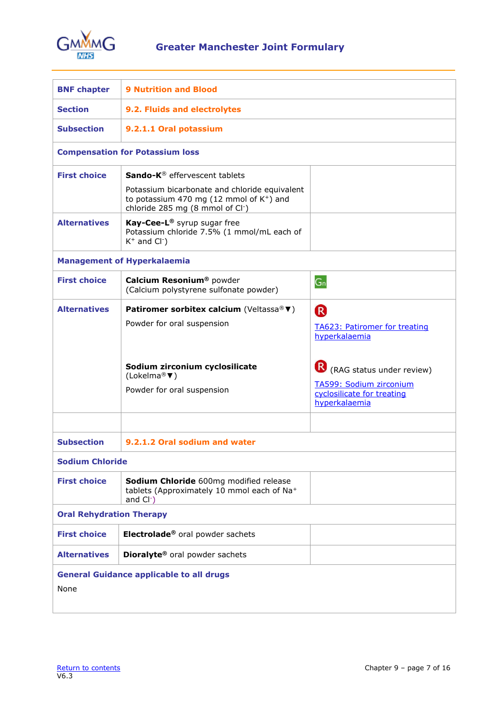

<span id="page-6-0"></span>

| <b>BNF chapter</b>              | <b>9 Nutrition and Blood</b>                                                                                                                          |                                                                                                       |  |
|---------------------------------|-------------------------------------------------------------------------------------------------------------------------------------------------------|-------------------------------------------------------------------------------------------------------|--|
| <b>Section</b>                  | 9.2. Fluids and electrolytes                                                                                                                          |                                                                                                       |  |
| <b>Subsection</b>               | 9.2.1.1 Oral potassium                                                                                                                                |                                                                                                       |  |
|                                 | <b>Compensation for Potassium loss</b>                                                                                                                |                                                                                                       |  |
| <b>First choice</b>             | Sando-K® effervescent tablets                                                                                                                         |                                                                                                       |  |
|                                 | Potassium bicarbonate and chloride equivalent<br>to potassium 470 mg (12 mmol of K <sup>+</sup> ) and<br>chloride 285 mg (8 mmol of Cl <sup>-</sup> ) |                                                                                                       |  |
| <b>Alternatives</b>             | Kay-Cee-L® syrup sugar free<br>Potassium chloride 7.5% (1 mmol/mL each of<br>$K^+$ and $Cl^-$ )                                                       |                                                                                                       |  |
|                                 | <b>Management of Hyperkalaemia</b>                                                                                                                    |                                                                                                       |  |
| <b>First choice</b>             | Calcium Resonium <sup>®</sup> powder<br>(Calcium polystyrene sulfonate powder)                                                                        | $G_n$                                                                                                 |  |
| <b>Alternatives</b>             | Patiromer sorbitex calcium (Veltassa® ▼)                                                                                                              | <sup>R</sup>                                                                                          |  |
|                                 | Powder for oral suspension                                                                                                                            | <b>TA623: Patiromer for treating</b><br>hyperkalaemia                                                 |  |
|                                 | Sodium zirconium cyclosilicate<br>(Lokelma® $\nabla$ )<br>Powder for oral suspension                                                                  | R (RAG status under review)<br>TA599: Sodium zirconium<br>cyclosilicate for treating<br>hyperkalaemia |  |
|                                 |                                                                                                                                                       |                                                                                                       |  |
| <b>Subsection</b>               | 9.2.1.2 Oral sodium and water                                                                                                                         |                                                                                                       |  |
| <b>Sodium Chloride</b>          |                                                                                                                                                       |                                                                                                       |  |
| <b>First choice</b>             | Sodium Chloride 600mg modified release<br>tablets (Approximately 10 mmol each of Na+<br>and $Cl2$                                                     |                                                                                                       |  |
| <b>Oral Rehydration Therapy</b> |                                                                                                                                                       |                                                                                                       |  |
| <b>First choice</b>             | Electrolade® oral powder sachets                                                                                                                      |                                                                                                       |  |
| <b>Alternatives</b>             | Dioralyte® oral powder sachets                                                                                                                        |                                                                                                       |  |
| None                            | <b>General Guidance applicable to all drugs</b>                                                                                                       |                                                                                                       |  |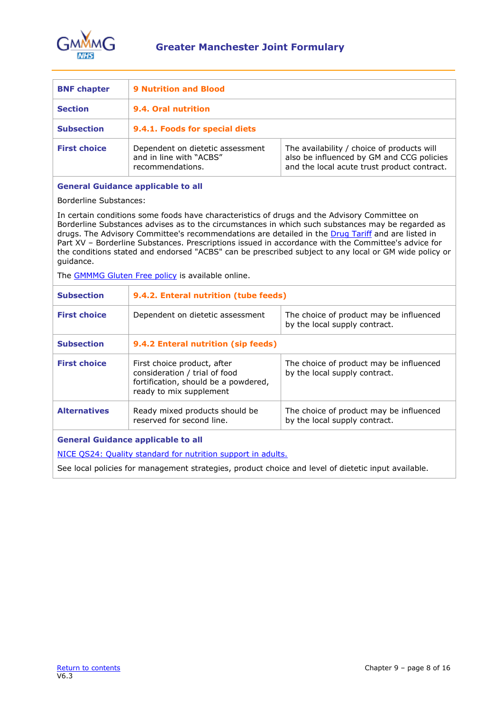

<span id="page-7-0"></span>

| <b>BNF chapter</b>  | <b>9 Nutrition and Blood</b>                                                    |                                                                                                                                        |
|---------------------|---------------------------------------------------------------------------------|----------------------------------------------------------------------------------------------------------------------------------------|
| <b>Section</b>      | 9.4. Oral nutrition                                                             |                                                                                                                                        |
| <b>Subsection</b>   | 9.4.1. Foods for special diets                                                  |                                                                                                                                        |
| <b>First choice</b> | Dependent on dietetic assessment<br>and in line with "ACBS"<br>recommendations. | The availability / choice of products will<br>also be influenced by GM and CCG policies<br>and the local acute trust product contract. |

### **General Guidance applicable to all**

Borderline Substances:

In certain conditions some foods have characteristics of drugs and the Advisory Committee on Borderline Substances advises as to the circumstances in which such substances may be regarded as drugs. The Advisory Committee's recommendations are detailed in the [Drug Tariff](https://www.nhsbsa.nhs.uk/pharmacies-gp-practices-and-appliance-contractors/drug-tariff) and are listed in Part XV – Borderline Substances. Prescriptions issued in accordance with the Committee's advice for the conditions stated and endorsed "ACBS" can be prescribed subject to any local or GM wide policy or guidance.

The **GMMMG Gluten Free policy** is available online.

| <b>Subsection</b>   | 9.4.2. Enteral nutrition (tube feeds)                                                                                           |                                                                          |
|---------------------|---------------------------------------------------------------------------------------------------------------------------------|--------------------------------------------------------------------------|
| <b>First choice</b> | Dependent on dietetic assessment                                                                                                | The choice of product may be influenced<br>by the local supply contract. |
| <b>Subsection</b>   | 9.4.2 Enteral nutrition (sip feeds)                                                                                             |                                                                          |
| <b>First choice</b> | First choice product, after<br>consideration / trial of food<br>fortification, should be a powdered,<br>ready to mix supplement | The choice of product may be influenced<br>by the local supply contract. |
| <b>Alternatives</b> | Ready mixed products should be<br>reserved for second line.                                                                     | The choice of product may be influenced<br>by the local supply contract. |
|                     | <b>General Guidance applicable to all</b><br>NICE 0004, Quality standard for putrition support in adults                        |                                                                          |

NICE QS24: [Quality standard for nutrition support in adults.](https://www.nice.org.uk/guidance/qs24)

See local policies for management strategies, product choice and level of dietetic input available.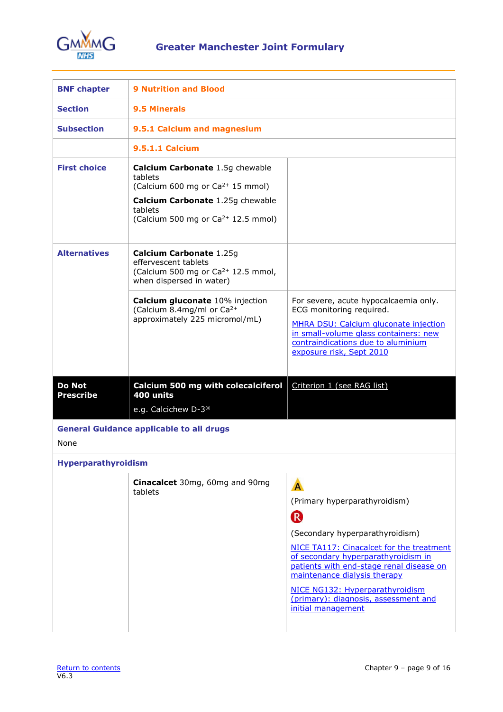

<span id="page-8-0"></span>

| <b>BNF chapter</b>                | <b>9 Nutrition and Blood</b>                                                                                                                                                                       |                                                                                                                                                                                                                                                                                                                                                                     |
|-----------------------------------|----------------------------------------------------------------------------------------------------------------------------------------------------------------------------------------------------|---------------------------------------------------------------------------------------------------------------------------------------------------------------------------------------------------------------------------------------------------------------------------------------------------------------------------------------------------------------------|
| <b>Section</b>                    | <b>9.5 Minerals</b>                                                                                                                                                                                |                                                                                                                                                                                                                                                                                                                                                                     |
| <b>Subsection</b>                 | 9.5.1 Calcium and magnesium                                                                                                                                                                        |                                                                                                                                                                                                                                                                                                                                                                     |
|                                   | <b>9.5.1.1 Calcium</b>                                                                                                                                                                             |                                                                                                                                                                                                                                                                                                                                                                     |
| <b>First choice</b>               | <b>Calcium Carbonate 1.5g chewable</b><br>tablets<br>(Calcium 600 mg or Ca <sup>2+</sup> 15 mmol)<br>Calcium Carbonate 1.25g chewable<br>tablets<br>(Calcium 500 mg or Ca <sup>2+</sup> 12.5 mmol) |                                                                                                                                                                                                                                                                                                                                                                     |
| <b>Alternatives</b>               | Calcium Carbonate 1.25g<br>effervescent tablets<br>(Calcium 500 mg or $Ca^{2+}$ 12.5 mmol,<br>when dispersed in water)                                                                             |                                                                                                                                                                                                                                                                                                                                                                     |
|                                   | Calcium gluconate 10% injection<br>(Calcium 8.4mg/ml or Ca <sup>2+</sup><br>approximately 225 micromol/mL)                                                                                         | For severe, acute hypocalcaemia only.<br>ECG monitoring required.<br>MHRA DSU: Calcium gluconate injection<br>in small-volume glass containers: new<br>contraindications due to aluminium<br>exposure risk, Sept 2010                                                                                                                                               |
| <b>Do Not</b><br><b>Prescribe</b> | Calcium 500 mg with colecalciferol<br>400 units                                                                                                                                                    | Criterion 1 (see RAG list)                                                                                                                                                                                                                                                                                                                                          |
|                                   | e.g. Calcichew D-3 <sup>®</sup>                                                                                                                                                                    |                                                                                                                                                                                                                                                                                                                                                                     |
| <b>None</b>                       | <b>General Guidance applicable to all drugs</b>                                                                                                                                                    |                                                                                                                                                                                                                                                                                                                                                                     |
| Hyperparathyroidism               |                                                                                                                                                                                                    |                                                                                                                                                                                                                                                                                                                                                                     |
|                                   | Cinacalcet 30mg, 60mg and 90mg<br>tablets                                                                                                                                                          | A<br>(Primary hyperparathyroidism)<br>$\left( \mathsf{R}\right)$<br>(Secondary hyperparathyroidism)<br>NICE TA117: Cinacalcet for the treatment<br>of secondary hyperparathyroidism in<br>patients with end-stage renal disease on<br>maintenance dialysis therapy<br>NICE NG132: Hyperparathyroidism<br>(primary): diagnosis, assessment and<br>initial management |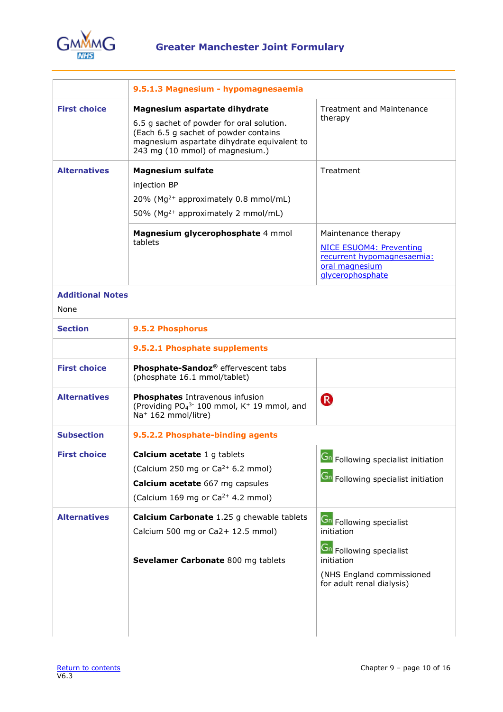

| <b>First choice</b>                        | Magnesium aspartate dihydrate                                                                                                                                                                                                                             | <b>Treatment and Maintenance</b>                                                                                                                   |
|--------------------------------------------|-----------------------------------------------------------------------------------------------------------------------------------------------------------------------------------------------------------------------------------------------------------|----------------------------------------------------------------------------------------------------------------------------------------------------|
|                                            | 6.5 g sachet of powder for oral solution.<br>(Each 6.5 g sachet of powder contains<br>magnesium aspartate dihydrate equivalent to<br>243 mg (10 mmol) of magnesium.)                                                                                      | therapy                                                                                                                                            |
| <b>Alternatives</b>                        | <b>Magnesium sulfate</b><br>injection BP<br>20% (Mg <sup>2+</sup> approximately 0.8 mmol/mL)<br>50% (Mg <sup>2+</sup> approximately 2 mmol/mL)<br>Magnesium glycerophosphate 4 mmol<br>tablets                                                            | Treatment<br>Maintenance therapy<br><b>NICE ESUOM4: Preventing</b><br>recurrent hypomagnesaemia:<br>oral magnesium<br>glycerophosphate             |
| <b>Additional Notes</b><br>None            |                                                                                                                                                                                                                                                           |                                                                                                                                                    |
| <b>Section</b>                             | 9.5.2 Phosphorus                                                                                                                                                                                                                                          |                                                                                                                                                    |
|                                            | 9.5.2.1 Phosphate supplements                                                                                                                                                                                                                             |                                                                                                                                                    |
| <b>First choice</b>                        | Phosphate-Sandoz® effervescent tabs<br>(phosphate 16.1 mmol/tablet)                                                                                                                                                                                       |                                                                                                                                                    |
| <b>Alternatives</b>                        | Phosphates Intravenous infusion<br>(Providing PO <sub>4</sub> <sup>3-</sup> 100 mmol, K <sup>+</sup> 19 mmol, and<br>Na <sup>+</sup> 162 mmol/litre)                                                                                                      | <sup>R</sup>                                                                                                                                       |
| <b>Subsection</b>                          | 9.5.2.2 Phosphate-binding agents                                                                                                                                                                                                                          |                                                                                                                                                    |
| <b>First choice</b><br><b>Alternatives</b> | <b>Calcium acetate</b> 1 g tablets<br>(Calcium 250 mg or Ca <sup>2+</sup> 6.2 mmol)<br>Calcium acetate 667 mg capsules<br>(Calcium 169 mg or Ca <sup>2+</sup> 4.2 mmol)<br>Calcium Carbonate 1.25 g chewable tablets<br>Calcium 500 mg or Ca2+ 12.5 mmol) | $\boxed{\mathsf{Gn}}$ Following specialist initiation<br><b>Gn</b> Following specialist initiation<br><b>Gn</b> Following specialist<br>initiation |
|                                            | Sevelamer Carbonate 800 mg tablets                                                                                                                                                                                                                        | Gn Following specialist<br>initiation<br>(NHS England commissioned<br>for adult renal dialysis)                                                    |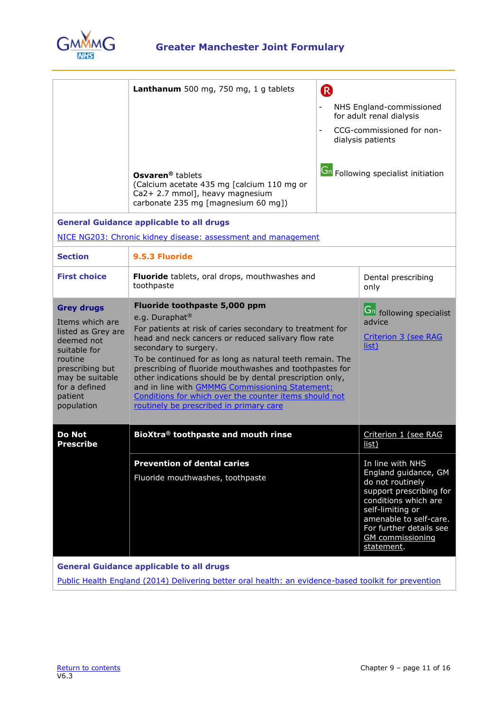

|                                                                                                                                                                                     | Lanthanum 500 mg, 750 mg, 1 g tablets<br>Osvaren <sup>®</sup> tablets<br>(Calcium acetate 435 mg [calcium 110 mg or<br>Ca2+ 2.7 mmol], heavy magnesium<br>carbonate 235 mg [magnesium 60 mg])                                                                                                                                                                                                                                                                                                                                                       | (R) | NHS England-commissioned<br>for adult renal dialysis<br>CCG-commissioned for non-<br>dialysis patients<br><b>Gn</b> Following specialist initiation                                                                               |
|-------------------------------------------------------------------------------------------------------------------------------------------------------------------------------------|-----------------------------------------------------------------------------------------------------------------------------------------------------------------------------------------------------------------------------------------------------------------------------------------------------------------------------------------------------------------------------------------------------------------------------------------------------------------------------------------------------------------------------------------------------|-----|-----------------------------------------------------------------------------------------------------------------------------------------------------------------------------------------------------------------------------------|
| <b>General Guidance applicable to all drugs</b><br>NICE NG203: Chronic kidney disease: assessment and management                                                                    |                                                                                                                                                                                                                                                                                                                                                                                                                                                                                                                                                     |     |                                                                                                                                                                                                                                   |
| <b>Section</b>                                                                                                                                                                      | 9.5.3 Fluoride                                                                                                                                                                                                                                                                                                                                                                                                                                                                                                                                      |     |                                                                                                                                                                                                                                   |
| <b>First choice</b>                                                                                                                                                                 | Fluoride tablets, oral drops, mouthwashes and<br>toothpaste                                                                                                                                                                                                                                                                                                                                                                                                                                                                                         |     | Dental prescribing<br>only                                                                                                                                                                                                        |
| <b>Grey drugs</b><br>Items which are<br>listed as Grey are<br>deemed not<br>suitable for<br>routine<br>prescribing but<br>may be suitable<br>for a defined<br>patient<br>population | Fluoride toothpaste 5,000 ppm<br>e.g. Duraphat <sup>®</sup><br>For patients at risk of caries secondary to treatment for<br>head and neck cancers or reduced salivary flow rate<br>secondary to surgery.<br>To be continued for as long as natural teeth remain. The<br>prescribing of fluoride mouthwashes and toothpastes for<br>other indications should be by dental prescription only,<br>and in line with GMMMG Commissioning Statement:<br>Conditions for which over the counter items should not<br>routinely be prescribed in primary care |     | <b>Gn</b> following specialist<br>advice<br>Criterion 3 (see RAG<br><u>list)</u>                                                                                                                                                  |
| <b>Do Not</b><br><b>Prescribe</b>                                                                                                                                                   | BioXtra® toothpaste and mouth rinse                                                                                                                                                                                                                                                                                                                                                                                                                                                                                                                 |     | Criterion 1 (see RAG<br>list)                                                                                                                                                                                                     |
|                                                                                                                                                                                     | <b>Prevention of dental caries</b><br>Fluoride mouthwashes, toothpaste                                                                                                                                                                                                                                                                                                                                                                                                                                                                              |     | In line with NHS<br>England guidance, GM<br>do not routinely<br>support prescribing for<br>conditions which are<br>self-limiting or<br>amenable to self-care.<br>For further details see<br><b>GM</b> commissioning<br>statement. |
| <b>General Guidance applicable to all drugs</b>                                                                                                                                     |                                                                                                                                                                                                                                                                                                                                                                                                                                                                                                                                                     |     |                                                                                                                                                                                                                                   |

[Public Health England \(2014\) Delivering better oral health: an evidence-based toolkit for prevention](https://www.gov.uk/government/publications/delivering-better-oral-health-an-evidence-based-toolkit-for-prevention)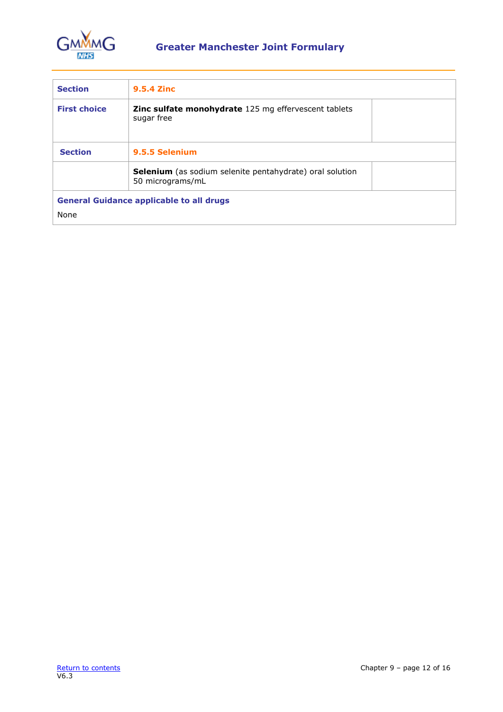

| <b>Section</b>      | <b>9.5.4 Zinc</b>                                                                   |
|---------------------|-------------------------------------------------------------------------------------|
| <b>First choice</b> | <b>Zinc sulfate monohydrate</b> 125 mg effervescent tablets<br>sugar free           |
| <b>Section</b>      | 9.5.5 Selenium                                                                      |
|                     | <b>Selenium</b> (as sodium selenite pentahydrate) oral solution<br>50 micrograms/mL |
|                     | <b>General Guidance applicable to all drugs</b>                                     |
| None                |                                                                                     |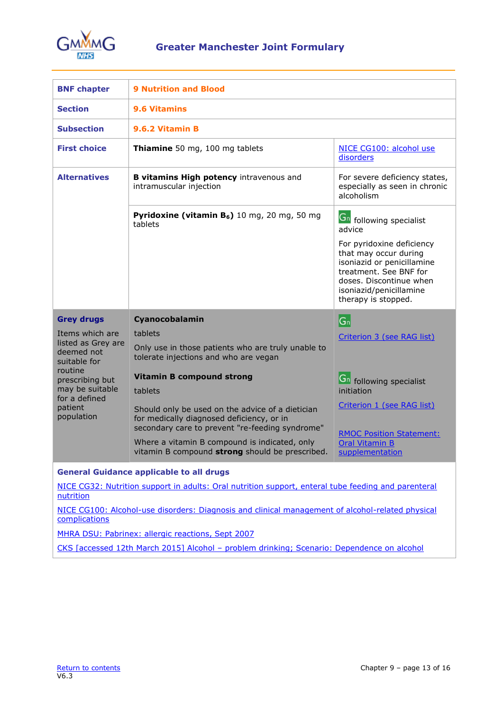

<span id="page-12-0"></span>

| <b>BNF chapter</b>                                                                                                                                             | <b>9 Nutrition and Blood</b>                                                                                                                     |                                                                                                                                                                                         |  |
|----------------------------------------------------------------------------------------------------------------------------------------------------------------|--------------------------------------------------------------------------------------------------------------------------------------------------|-----------------------------------------------------------------------------------------------------------------------------------------------------------------------------------------|--|
| <b>Section</b>                                                                                                                                                 | <b>9.6 Vitamins</b>                                                                                                                              |                                                                                                                                                                                         |  |
| <b>Subsection</b>                                                                                                                                              | 9.6.2 Vitamin B                                                                                                                                  |                                                                                                                                                                                         |  |
| <b>First choice</b>                                                                                                                                            | Thiamine 50 mg, 100 mg tablets                                                                                                                   | NICE CG100: alcohol use<br>disorders                                                                                                                                                    |  |
| <b>Alternatives</b>                                                                                                                                            | B vitamins High potency intravenous and<br>intramuscular injection                                                                               | For severe deficiency states,<br>especially as seen in chronic<br>alcoholism                                                                                                            |  |
|                                                                                                                                                                | <b>Pyridoxine (vitamin B<sub>6</sub>)</b> 10 mg, 20 mg, 50 mg<br>tablets                                                                         | <b>Gn</b> following specialist<br>advice                                                                                                                                                |  |
|                                                                                                                                                                |                                                                                                                                                  | For pyridoxine deficiency<br>that may occur during<br>isoniazid or penicillamine<br>treatment. See BNF for<br>doses. Discontinue when<br>isoniazid/penicillamine<br>therapy is stopped. |  |
| <b>Grey drugs</b>                                                                                                                                              | Cyanocobalamin                                                                                                                                   | $ G_n $                                                                                                                                                                                 |  |
| Items which are<br>listed as Grey are<br>deemed not<br>suitable for<br>routine<br>prescribing but<br>may be suitable<br>for a defined<br>patient<br>population | tablets<br>Only use in those patients who are truly unable to<br>tolerate injections and who are vegan                                           | Criterion 3 (see RAG list)                                                                                                                                                              |  |
|                                                                                                                                                                | <b>Vitamin B compound strong</b><br>tablets                                                                                                      | <b>Gn</b> following specialist<br>initiation                                                                                                                                            |  |
|                                                                                                                                                                | Should only be used on the advice of a dietician<br>for medically diagnosed deficiency, or in<br>secondary care to prevent "re-feeding syndrome" | Criterion 1 (see RAG list)                                                                                                                                                              |  |
|                                                                                                                                                                | Where a vitamin B compound is indicated, only<br>vitamin B compound strong should be prescribed.                                                 | <b>RMOC Position Statement:</b><br><b>Oral Vitamin B</b><br>supplementation                                                                                                             |  |
|                                                                                                                                                                | <b>General Guidance applicable to all drugs</b>                                                                                                  |                                                                                                                                                                                         |  |
| NICE CG32: Nutrition support in adults: Oral nutrition support, enteral tube feeding and parenteral<br>nutrition                                               |                                                                                                                                                  |                                                                                                                                                                                         |  |
| NICE CG100: Alcohol-use disorders: Diagnosis and clinical management of alcohol-related physical<br>complications                                              |                                                                                                                                                  |                                                                                                                                                                                         |  |
|                                                                                                                                                                |                                                                                                                                                  |                                                                                                                                                                                         |  |
|                                                                                                                                                                | MHRA DSU: Pabrinex: allergic reactions, Sept 2007                                                                                                |                                                                                                                                                                                         |  |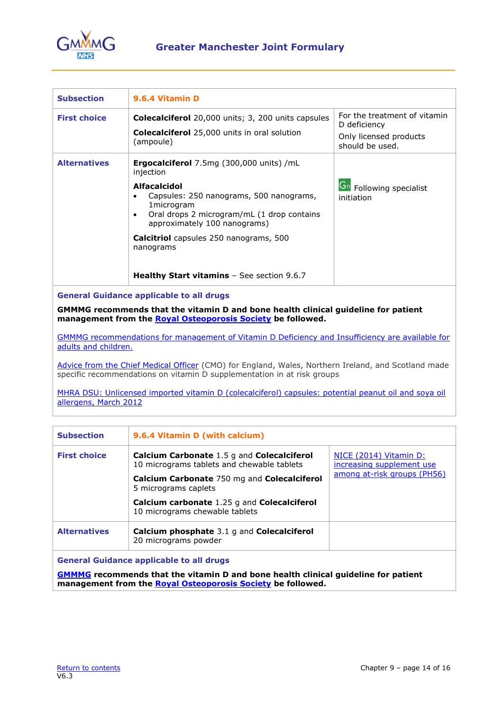

| <b>Subsection</b>   | 9.6.4 Vitamin D                                                                                                                                                                                                            |                                                                                           |
|---------------------|----------------------------------------------------------------------------------------------------------------------------------------------------------------------------------------------------------------------------|-------------------------------------------------------------------------------------------|
| <b>First choice</b> | <b>Colecalciferol</b> 20,000 units; 3, 200 units capsules<br><b>Colecalciferol</b> 25,000 units in oral solution<br>(ampoule)                                                                                              | For the treatment of vitamin<br>D deficiency<br>Only licensed products<br>should be used. |
| <b>Alternatives</b> | <b>Ergocalciferol</b> 7.5mg (300,000 units) /mL<br>injection<br><b>Alfacalcidol</b><br>Capsules: 250 nanograms, 500 nanograms,<br>1microgram<br>Oral drops 2 microgram/mL (1 drop contains<br>approximately 100 nanograms) | <b>Gn</b> Following specialist<br>initiation                                              |
|                     | <b>Calcitriol</b> capsules 250 nanograms, 500<br>nanograms<br><b>Healthy Start vitamins</b> $-$ See section 9.6.7                                                                                                          |                                                                                           |

#### **General Guidance applicable to all drugs**

**GMMMG recommends that the vitamin D and bone health clinical guideline for patient management from the [Royal Osteoporosis Society](https://theros.org.uk/clinical-publications-and-resources/) be followed.**

GMMMG [recommendations for management of Vitamin D Deficiency](https://gmmmg.nhs.uk/guidance/medicine-and-device-recommendations/) and Insufficiency are available for [adults and children.](https://gmmmg.nhs.uk/guidance/medicine-and-device-recommendations/) 

[Advice from the Chief Medical Officer](https://www.gov.uk/government/uploads/system/uploads/attachment_data/file/214939/DH-Letter-Vitamin-D-statements-05022013.pdf) (CMO) for England, Wales, Northern Ireland, and Scotland made specific recommendations on vitamin D supplementation in at risk groups

MHRA DSU: Unlicensed imported vitamin D (colecalciferol) capsules: potential peanut oil and soya oil [allergens,](http://www.mhra.gov.uk/Safetyinformation/DrugSafetyUpdate/CON146532) March 2012

| <b>Subsection</b>   | 9.6.4 Vitamin D (with calcium)                                                                  |                                                     |
|---------------------|-------------------------------------------------------------------------------------------------|-----------------------------------------------------|
| <b>First choice</b> | <b>Calcium Carbonate 1.5 g and Colecalciferol</b><br>10 micrograms tablets and chewable tablets | NICE (2014) Vitamin D:<br>increasing supplement use |
|                     | <b>Calcium Carbonate</b> 750 mg and <b>Colecalciferol</b><br>5 micrograms caplets               | among at-risk groups (PH56)                         |
|                     | Calcium carbonate 1.25 g and Colecalciferol<br>10 micrograms chewable tablets                   |                                                     |
| <b>Alternatives</b> | <b>Calcium phosphate</b> 3.1 g and <b>Colecalciferol</b><br>20 micrograms powder                |                                                     |
|                     | <b>General Guidance applicable to all drugs</b>                                                 |                                                     |

**General Guidance applicable to all drugs**

**[GMMMG](https://gmmmg.nhs.uk/guidance/medicine-and-device-recommendations/) recommends that the vitamin D and bone health clinical guideline for patient management from the [Royal Osteoporosis Society](https://theros.org.uk/clinical-publications-and-resources/) be followed.**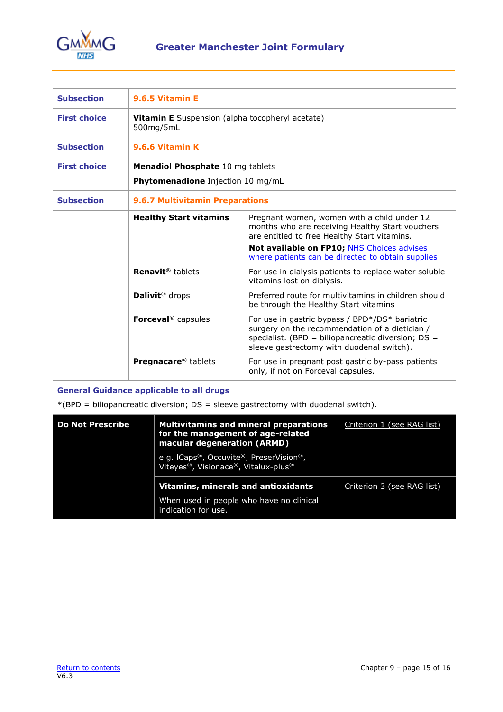

| <b>Subsection</b>                                                                                                                      | 9.6.5 Vitamin E                                                                                                                                                                                                                       |                                                                                                                                                |                            |
|----------------------------------------------------------------------------------------------------------------------------------------|---------------------------------------------------------------------------------------------------------------------------------------------------------------------------------------------------------------------------------------|------------------------------------------------------------------------------------------------------------------------------------------------|----------------------------|
| <b>First choice</b>                                                                                                                    | Vitamin E Suspension (alpha tocopheryl acetate)<br>500mg/5mL                                                                                                                                                                          |                                                                                                                                                |                            |
| <b>Subsection</b>                                                                                                                      | 9.6.6 Vitamin K                                                                                                                                                                                                                       |                                                                                                                                                |                            |
| <b>First choice</b>                                                                                                                    | Menadiol Phosphate 10 mg tablets                                                                                                                                                                                                      |                                                                                                                                                |                            |
|                                                                                                                                        | Phytomenadione Injection 10 mg/mL                                                                                                                                                                                                     |                                                                                                                                                |                            |
| <b>Subsection</b>                                                                                                                      | <b>9.6.7 Multivitamin Preparations</b>                                                                                                                                                                                                |                                                                                                                                                |                            |
|                                                                                                                                        | <b>Healthy Start vitamins</b>                                                                                                                                                                                                         | Pregnant women, women with a child under 12<br>months who are receiving Healthy Start vouchers<br>are entitled to free Healthy Start vitamins. |                            |
|                                                                                                                                        |                                                                                                                                                                                                                                       | Not available on FP10; NHS Choices advises<br>where patients can be directed to obtain supplies                                                |                            |
|                                                                                                                                        | Renavit <sup>®</sup> tablets                                                                                                                                                                                                          | For use in dialysis patients to replace water soluble<br>vitamins lost on dialysis.                                                            |                            |
|                                                                                                                                        | Dalivit <sup>®</sup> drops                                                                                                                                                                                                            | Preferred route for multivitamins in children should<br>be through the Healthy Start vitamins                                                  |                            |
|                                                                                                                                        | Forceval <sup>®</sup> capsules<br>For use in gastric bypass / BPD*/DS* bariatric<br>surgery on the recommendation of a dietician /<br>specialist. (BPD = biliopancreatic diversion; DS =<br>sleeve gastrectomy with duodenal switch). |                                                                                                                                                |                            |
|                                                                                                                                        | Pregnacare <sup>®</sup> tablets                                                                                                                                                                                                       | For use in pregnant post gastric by-pass patients<br>only, if not on Forceval capsules.                                                        |                            |
| <b>General Guidance applicable to all drugs</b><br>$*(BPD = biliopancreatic diversion; DS = sleeve gastrectomy with duodenal switch).$ |                                                                                                                                                                                                                                       |                                                                                                                                                |                            |
| <b>Do Not Prescribe</b>                                                                                                                | for the management of age-related<br>macular degeneration (ARMD)                                                                                                                                                                      | <b>Multivitamins and mineral preparations</b>                                                                                                  | Criterion 1 (see RAG list) |
|                                                                                                                                        | e.g. ICaps®, Occuvite®, PreserVision®,<br>Viteyes®, Visionace®, Vitalux-plus®                                                                                                                                                         |                                                                                                                                                |                            |
|                                                                                                                                        | <b>Vitamins, minerals and antioxidants</b><br>When used in people who have no clinical                                                                                                                                                |                                                                                                                                                | Criterion 3 (see RAG list) |

indication for use.